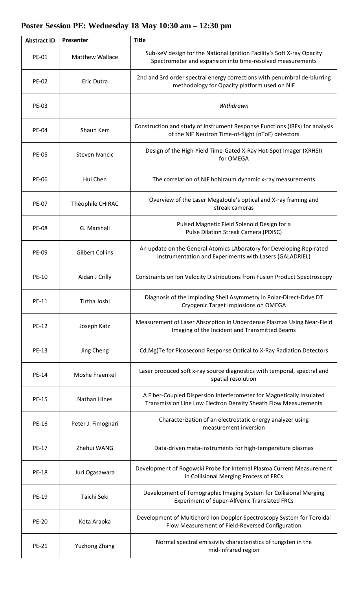| <b>Abstract ID</b> | Presenter              | <b>Title</b>                                                                                                                            |
|--------------------|------------------------|-----------------------------------------------------------------------------------------------------------------------------------------|
| <b>PE-01</b>       | <b>Matthew Wallace</b> | Sub-keV design for the National Ignition Facility's Soft X-ray Opacity<br>Spectrometer and expansion into time-resolved measurements    |
| <b>PE-02</b>       | Eric Dutra             | 2nd and 3rd order spectral energy corrections with penumbral de-blurring<br>methodology for Opacity platform used on NIF                |
| <b>PE-03</b>       |                        | Withdrawn                                                                                                                               |
| <b>PE-04</b>       | Shaun Kerr             | Construction and study of Instrument Response Functions (IRFs) for analysis<br>of the NIF Neutron Time-of-flight (nToF) detectors       |
| <b>PE-05</b>       | Steven Ivancic         | Design of the High-Yield Time-Gated X-Ray Hot-Spot Imager (XRHSI)<br>for OMEGA                                                          |
| <b>PE-06</b>       | Hui Chen               | The correlation of NIF hohlraum dynamic x-ray measurements                                                                              |
| <b>PE-07</b>       | Théophile CHIRAC       | Overview of the Laser MegaJoule's optical and X-ray framing and<br>streak cameras                                                       |
| <b>PE-08</b>       | G. Marshall            | Pulsed Magnetic Field Solenoid Design for a<br>Pulse Dilation Streak Camera (PDISC)                                                     |
| <b>PE-09</b>       | <b>Gilbert Collins</b> | An update on the General Atomics LAboratory for Developing Rep-rated<br>Instrumentation and Experiments with Lasers (GALADRIEL)         |
| PE-10              | Aidan J Crilly         | Constraints on Ion Velocity Distributions from Fusion Product Spectroscopy                                                              |
| PE-11              | Tirtha Joshi           | Diagnosis of the Imploding Shell Asymmetry in Polar-Direct-Drive DT<br>Cryogenic Target Implosions on OMEGA                             |
| <b>PE-12</b>       | Joseph Katz            | Measurement of Laser Absorption in Underdense Plasmas Using Near-Field<br>Imaging of the Incident and Transmitted Beams                 |
| PE-13              | Jing Cheng             | Cd, Mg) Te for Picosecond Response Optical to X-Ray Radiation Detectors                                                                 |
| <b>PE-14</b>       | Moshe Fraenkel         | Laser produced soft x-ray source diagnostics with temporal, spectral and<br>spatial resolution                                          |
| <b>PE-15</b>       | <b>Nathan Hines</b>    | A Fiber-Coupled Dispersion Interferometer for Magnetically Insulated<br>Transmission Line Low Electron Density Sheath Flow Measurements |
| PE-16              | Peter J. Fimognari     | Characterization of an electrostatic energy analyzer using<br>measurement inversion                                                     |
| PE-17              | Zhehui WANG            | Data-driven meta-instruments for high-temperature plasmas                                                                               |
| <b>PE-18</b>       | Juri Ogasawara         | Development of Rogowski Probe for Internal Plasma Current Measurement<br>in Collisional Merging Process of FRCs                         |
| PE-19              | Taichi Seki            | Development of Tomographic Imaging System for Collisional Merging<br>Experiment of Super-Alfvénic Translated FRCs                       |
| <b>PE-20</b>       | Kota Araoka            | Development of Multichord Ion Doppler Spectroscopy System for Toroidal<br>Flow Measurement of Field-Reversed Configuration              |
| <b>PE-21</b>       | <b>Yuzhong Zhang</b>   | Normal spectral emissivity characteristics of tungsten in the<br>mid-infrared region                                                    |

## **Poster Session PE: Wednesday 18 May 10:30 am – 12:30 pm**